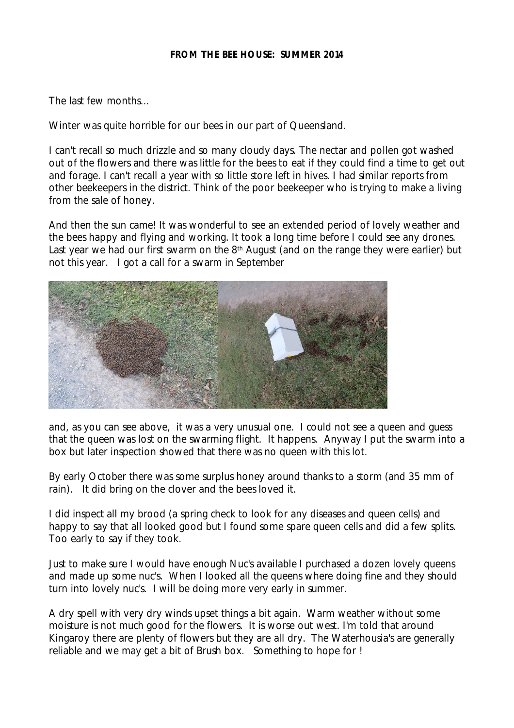#### **FROM THE BEE HOUSE: SUMMER 2014**

The last few months...

Winter was quite horrible for our bees in our part of Queensland.

I can't recall so much drizzle and so many cloudy days. The nectar and pollen got washed out of the flowers and there was little for the bees to eat if they could find a time to get out and forage. I can't recall a year with so little store left in hives. I had similar reports from other beekeepers in the district. Think of the poor beekeeper who is trying to make a living from the sale of honey.

And then the sun came! It was wonderful to see an extended period of lovely weather and the bees happy and flying and working. It took a long time before I could see any drones. Last year we had our first swarm on the 8<sup>th</sup> August (and on the range they were earlier) but not this year. I got a call for a swarm in September



and, *as you can see above*, it was a very unusual one. I could not see a queen and guess that the queen was lost on the swarming flight. It happens. Anyway I put the swarm into a box but later inspection showed that there was no queen with this lot.

By early October there was some surplus honey around thanks to a storm (and 35 mm of rain). It did bring on the clover and the bees loved it.

I did inspect all my brood (a spring check to look for any diseases and queen cells) and happy to say that all looked good but I found some spare queen cells and did a few splits. Too early to say if they took.

Just to make sure I would have enough Nuc's available I purchased a dozen lovely queens and made up some nuc's. When I looked all the queens where doing fine and they should turn into lovely nuc's. I will be doing more very early in summer.

A dry spell with very dry winds upset things a bit again. Warm weather without some moisture is not much good for the flowers. It is worse out west. I'm told that around Kingaroy there are plenty of flowers but they are all dry. The *Waterhousia's* are generally reliable and we may get a bit of *Brush box*. Something to hope for !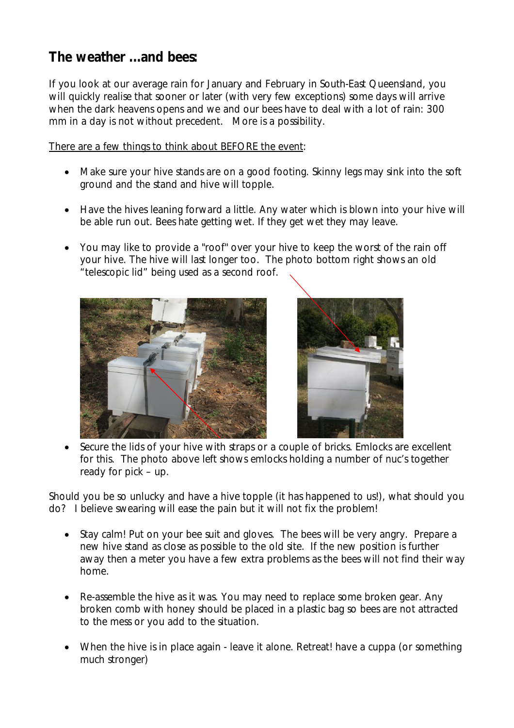# **The weather ...and bees:**

If you look at our average rain for January and February in South-East Queensland, you will quickly realise that sooner or later (with very few exceptions) some days will arrive when the dark heavens opens and we and our bees have to deal with a lot of rain: 300 mm in a day is not without precedent. More is a possibility.

There are a few things to think about BEFORE the event:

- Make sure your hive stands are on a good footing. Skinny legs may sink into the soft ground and the stand and hive will topple.
- Have the hives leaning forward a little. Any water which is blown into your hive will be able run out. Bees hate getting wet. If they get wet they may leave.
- You may like to provide a "roof" over your hive to keep the worst of the rain off your hive. The hive will last longer too. *The photo bottom right shows an old "telescopic lid" being used as a second roof.*





 Secure the lids of your hive with straps or a couple of bricks. *Emlocks* are excellent for this. *The photo above left shows emlocks holding a number of nuc's together ready for pick – up.*

Should you be so unlucky and have a hive topple (it has happened to us!), what should you do? I believe swearing will ease the pain but it will not fix the problem!

- Stay calm! Put on your bee suit and gloves. The bees will be very angry. Prepare a new hive stand as close as possible to the old site. If the new position is further away then a meter you have a few extra problems as the bees will not find their way home.
- Re-assemble the hive as it was. You may need to replace some broken gear. Any broken comb with honey should be placed in a plastic bag so bees are not attracted to the mess or you add to the situation.
- When the hive is in place again leave it alone. Retreat! have a cuppa (or something much stronger)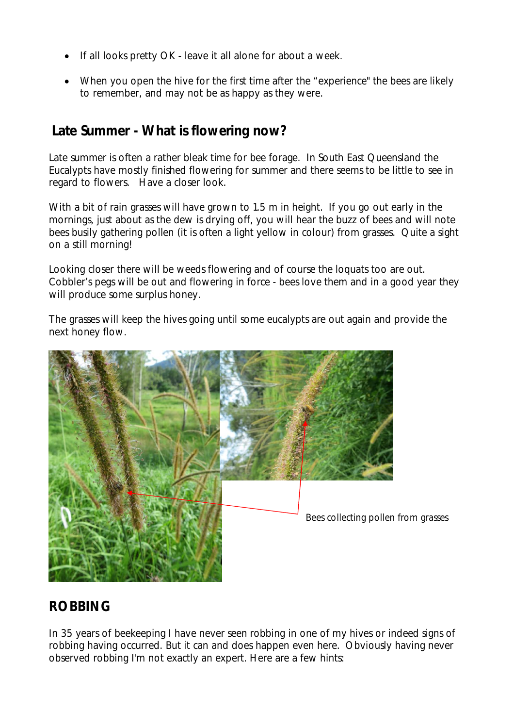- If all looks pretty OK leave it all alone for about a week.
- When you open the hive for the first time after the "experience" the bees are likely to remember, and may not be as happy as they were.

### **Late Summer - What is flowering now?**

Late summer is often a rather bleak time for bee forage. In South East Queensland the Eucalypts have mostly finished flowering for summer and there seems to be little to see in regard to flowers. Have a closer look.

With a bit of rain grasses will have grown to 1.5 m in height. If you go out early in the mornings, just about as the dew is drying off, you will hear the buzz of bees and will note bees busily gathering pollen (it is often a light yellow in colour) from grasses. Quite a sight on a still morning!

Looking closer there will be weeds flowering and of course the loquats too are out. Cobbler's pegs will be out and flowering in force - bees love them and in a good year they will produce some surplus honey.

The grasses will keep the hives going until some eucalypts are out again and provide the next honey flow.



# **ROBBING**

In 35 years of beekeeping I have never seen robbing in one of my hives or indeed signs of robbing having occurred. But it can and does happen even here. Obviously having never observed robbing I'm not exactly an expert. Here are a few hints: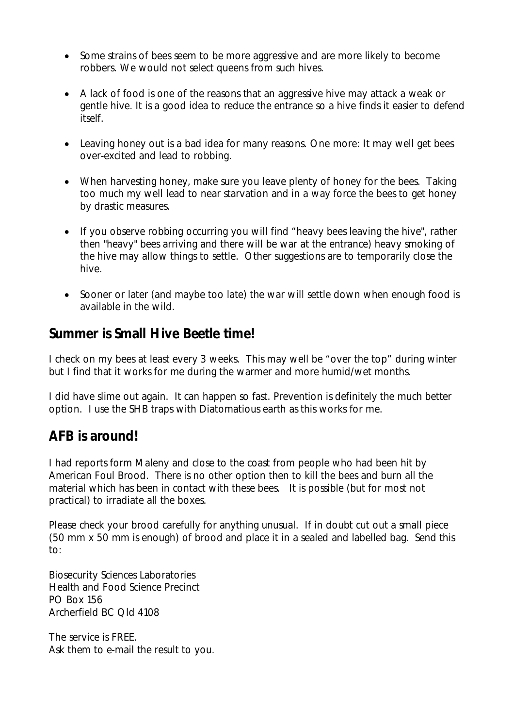- Some strains of bees seem to be more aggressive and are more likely to become robbers. We would not select queens from such hives.
- A lack of food is one of the reasons that an aggressive hive may attack a weak or gentle hive. It is a good idea to reduce the entrance so a hive finds it easier to defend itself.
- Leaving honey out is a bad idea for many reasons. One more: It may well get bees over-excited and lead to robbing.
- When harvesting honey, make sure you leave plenty of honey for the bees. Taking too much my well lead to near starvation and in a way force the bees to get honey by drastic measures.
- If you observe robbing occurring you will find *"heavy bees leaving the hive",* rather then "heavy" bees arriving and there will be war at the entrance) heavy smoking of the hive may allow things to settle. Other suggestions are to temporarily close the hive.
- Sooner or later (and maybe too late) the war will settle down when enough food is available in the wild.

### **Summer is Small Hive Beetle time!**

I check on my bees at least every 3 weeks. This may well be "over the top" during winter but I find that it works for me during the warmer and more humid/wet months.

I did have slime out again. It can happen so fast. Prevention is definitely the much better option. I use the SHB traps with Diatomatious earth as this works for me.

### **AFB is around!**

I had reports form Maleny and close to the coast from people who had been hit by American Foul Brood. There is no other option then to kill the bees and burn all the material which has been in contact with these bees. It is possible (but for most not practical) to irradiate all the boxes.

Please check your brood carefully for anything unusual. If in doubt cut out a small piece (50 mm x 50 mm is enough) of brood and place it in a sealed and labelled bag. Send this to:

Biosecurity Sciences Laboratories Health and Food Science Precinct PO Box 156 Archerfield BC Qld 4108

The service is FREE. Ask them to e-mail the result to you.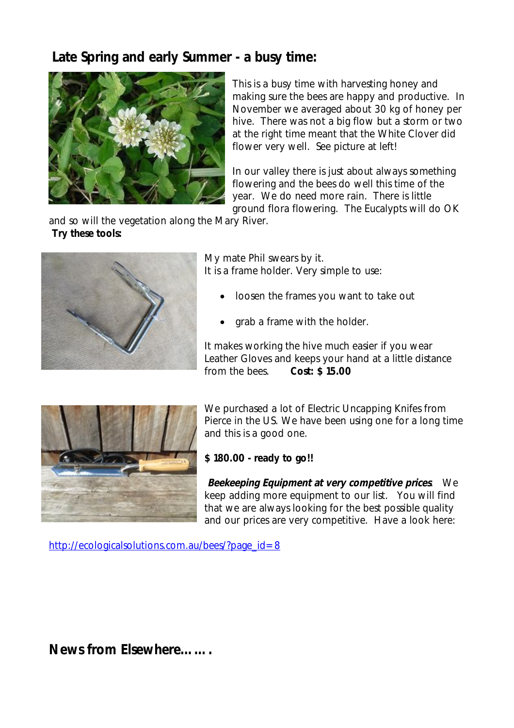## **Late Spring and early Summer - a busy time:**



This is a busy time with harvesting honey and making sure the bees are happy and productive. In November we averaged about 30 kg of honey per hive. There was not a big flow but a storm or two at the right time meant that the White Clover did flower very well. See picture at left!

In our valley there is just about always something flowering and the bees do well this time of the year. We do need more rain. There is little ground flora flowering. The Eucalypts will do OK

and so will the vegetation along the Mary River. **Try these tools:**



My mate Phil swears by it. It is a frame holder. Very simple to use:

- loosen the frames you want to take out
- grab a frame with the holder.

It makes working the hive much easier if you wear Leather Gloves and keeps your hand at a little distance from the bees. **Cost: \$ 15.00**



We purchased a lot of Electric Uncapping Knifes from Pierce in the US. We have been using one for a long time and this is a good one.

#### **\$ 180.00 - ready to go!!**

*Beekeeping Equipment at very competitive prices*. We keep adding more equipment to our list. You will find that we are always looking for the best possible quality and our prices are very competitive. Have a look here:

http://ecologicalsolutions.com.au/bees/?page\_id=8

**News from Elsewhere…….**